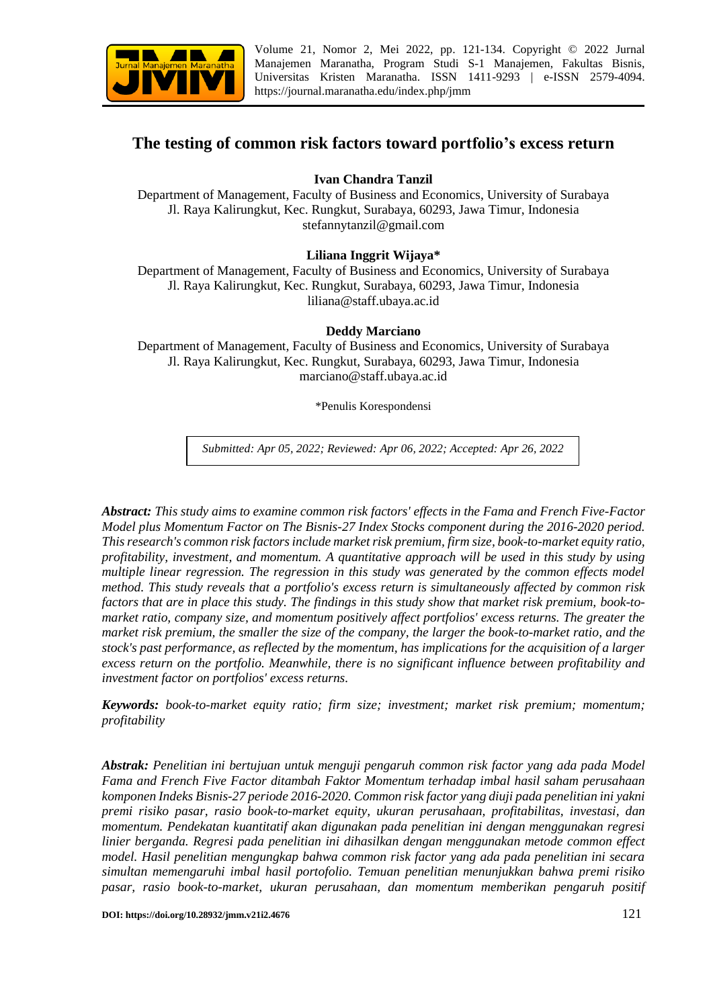

Volume 21, Nomor 2, Mei 2022, pp. 121-134. Copyright © 2022 Jurnal Manajemen Maranatha, Program Studi S-1 Manajemen, Fakultas Bisnis, Universitas Kristen Maranatha. ISSN 1411-9293 | e-ISSN 2579-4094. <https://journal.maranatha.edu/index.php/jmm>

# **The testing of common risk factors toward portfolio's excess return**

# **Ivan Chandra Tanzil**

Department of Management, Faculty of Business and Economics, University of Surabaya Jl. Raya Kalirungkut, Kec. Rungkut, Surabaya, 60293, Jawa Timur, Indonesia stefannytanzil@gmail.com

## **Liliana Inggrit Wijaya\***

Department of Management, Faculty of Business and Economics, University of Surabaya Jl. Raya Kalirungkut, Kec. Rungkut, Surabaya, 60293, Jawa Timur, Indonesia liliana@staff.ubaya.ac.id

### **Deddy Marciano**

Department of Management, Faculty of Business and Economics, University of Surabaya Jl. Raya Kalirungkut, Kec. Rungkut, Surabaya, 60293, Jawa Timur, Indonesia marciano@staff.ubaya.ac.id

\*Penulis Korespondensi

*Submitted: Apr 05, 2022; Reviewed: Apr 06, 2022; Accepted: Apr 26, 2022*

*Abstract: This study aims to examine common risk factors' effects in the Fama and French Five-Factor Model plus Momentum Factor on The Bisnis-27 Index Stocks component during the 2016-2020 period. This research's common risk factors include market risk premium, firm size, book-to-market equity ratio, profitability, investment, and momentum. A quantitative approach will be used in this study by using multiple linear regression. The regression in this study was generated by the common effects model method. This study reveals that a portfolio's excess return is simultaneously affected by common risk factors that are in place this study. The findings in this study show that market risk premium, book-tomarket ratio, company size, and momentum positively affect portfolios' excess returns. The greater the market risk premium, the smaller the size of the company, the larger the book-to-market ratio, and the stock's past performance, as reflected by the momentum, has implications for the acquisition of a larger excess return on the portfolio. Meanwhile, there is no significant influence between profitability and investment factor on portfolios' excess returns.*

*Keywords: book-to-market equity ratio; firm size; investment; market risk premium; momentum; profitability*

*Abstrak: Penelitian ini bertujuan untuk menguji pengaruh common risk factor yang ada pada Model Fama and French Five Factor ditambah Faktor Momentum terhadap imbal hasil saham perusahaan komponen Indeks Bisnis-27 periode 2016-2020. Common risk factor yang diuji pada penelitian ini yakni premi risiko pasar, rasio book-to-market equity, ukuran perusahaan, profitabilitas, investasi, dan momentum. Pendekatan kuantitatif akan digunakan pada penelitian ini dengan menggunakan regresi linier berganda. Regresi pada penelitian ini dihasilkan dengan menggunakan metode common effect model. Hasil penelitian mengungkap bahwa common risk factor yang ada pada penelitian ini secara simultan memengaruhi imbal hasil portofolio. Temuan penelitian menunjukkan bahwa premi risiko pasar, rasio book-to-market, ukuran perusahaan, dan momentum memberikan pengaruh positif* 

**DOI: https://doi.org/10.28932/jmm.v21i2.4676** 121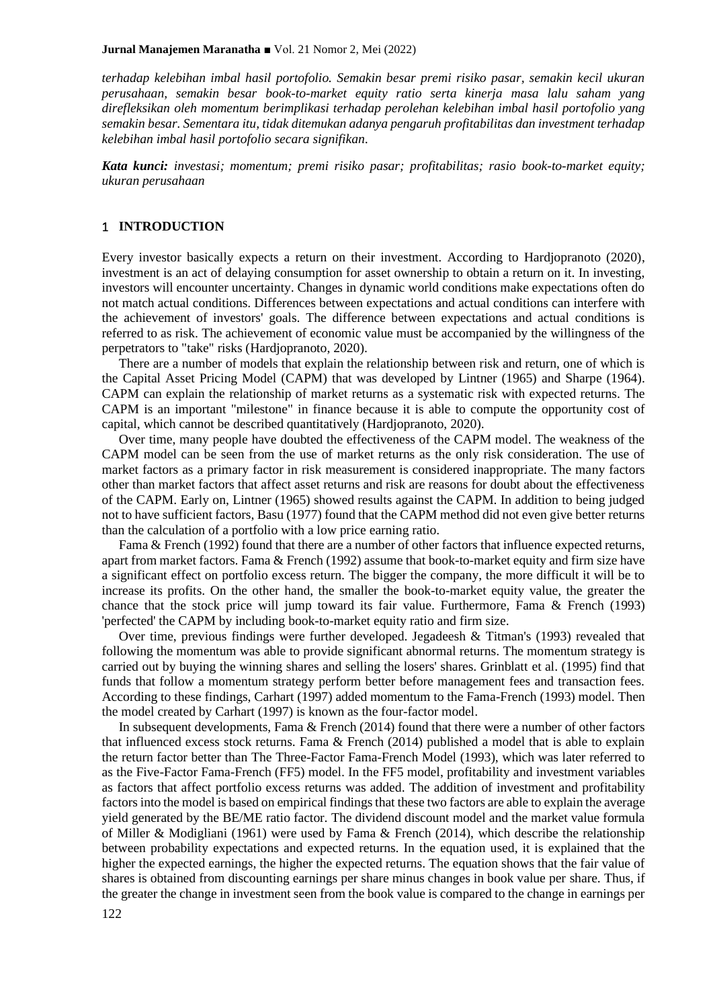*terhadap kelebihan imbal hasil portofolio. Semakin besar premi risiko pasar, semakin kecil ukuran perusahaan, semakin besar book-to-market equity ratio serta kinerja masa lalu saham yang direfleksikan oleh momentum berimplikasi terhadap perolehan kelebihan imbal hasil portofolio yang semakin besar. Sementara itu, tidak ditemukan adanya pengaruh profitabilitas dan investment terhadap kelebihan imbal hasil portofolio secara signifikan.*

*Kata kunci: investasi; momentum; premi risiko pasar; profitabilitas; rasio book-to-market equity; ukuran perusahaan*

### 1 **INTRODUCTION**

Every investor basically expects a return on their investment. According to Hardjopranoto (2020), investment is an act of delaying consumption for asset ownership to obtain a return on it. In investing, investors will encounter uncertainty. Changes in dynamic world conditions make expectations often do not match actual conditions. Differences between expectations and actual conditions can interfere with the achievement of investors' goals. The difference between expectations and actual conditions is referred to as risk. The achievement of economic value must be accompanied by the willingness of the perpetrators to "take" risks (Hardjopranoto, 2020).

There are a number of models that explain the relationship between risk and return, one of which is the Capital Asset Pricing Model (CAPM) that was developed by Lintner (1965) and Sharpe (1964). CAPM can explain the relationship of market returns as a systematic risk with expected returns. The CAPM is an important "milestone" in finance because it is able to compute the opportunity cost of capital, which cannot be described quantitatively (Hardjopranoto, 2020).

Over time, many people have doubted the effectiveness of the CAPM model. The weakness of the CAPM model can be seen from the use of market returns as the only risk consideration. The use of market factors as a primary factor in risk measurement is considered inappropriate. The many factors other than market factors that affect asset returns and risk are reasons for doubt about the effectiveness of the CAPM. Early on, Lintner (1965) showed results against the CAPM. In addition to being judged not to have sufficient factors, Basu (1977) found that the CAPM method did not even give better returns than the calculation of a portfolio with a low price earning ratio.

Fama & French (1992) found that there are a number of other factors that influence expected returns, apart from market factors. Fama & French (1992) assume that book-to-market equity and firm size have a significant effect on portfolio excess return. The bigger the company, the more difficult it will be to increase its profits. On the other hand, the smaller the book-to-market equity value, the greater the chance that the stock price will jump toward its fair value. Furthermore, Fama & French (1993) 'perfected' the CAPM by including book-to-market equity ratio and firm size.

Over time, previous findings were further developed. Jegadeesh & Titman's (1993) revealed that following the momentum was able to provide significant abnormal returns. The momentum strategy is carried out by buying the winning shares and selling the losers' shares. Grinblatt et al. (1995) find that funds that follow a momentum strategy perform better before management fees and transaction fees. According to these findings, Carhart (1997) added momentum to the Fama-French (1993) model. Then the model created by Carhart (1997) is known as the four-factor model.

In subsequent developments, Fama & French (2014) found that there were a number of other factors that influenced excess stock returns. Fama & French (2014) published a model that is able to explain the return factor better than The Three-Factor Fama-French Model (1993), which was later referred to as the Five-Factor Fama-French (FF5) model. In the FF5 model, profitability and investment variables as factors that affect portfolio excess returns was added. The addition of investment and profitability factors into the model is based on empirical findings that these two factors are able to explain the average yield generated by the BE/ME ratio factor. The dividend discount model and the market value formula of Miller & Modigliani (1961) were used by Fama & French (2014), which describe the relationship between probability expectations and expected returns. In the equation used, it is explained that the higher the expected earnings, the higher the expected returns. The equation shows that the fair value of shares is obtained from discounting earnings per share minus changes in book value per share. Thus, if the greater the change in investment seen from the book value is compared to the change in earnings per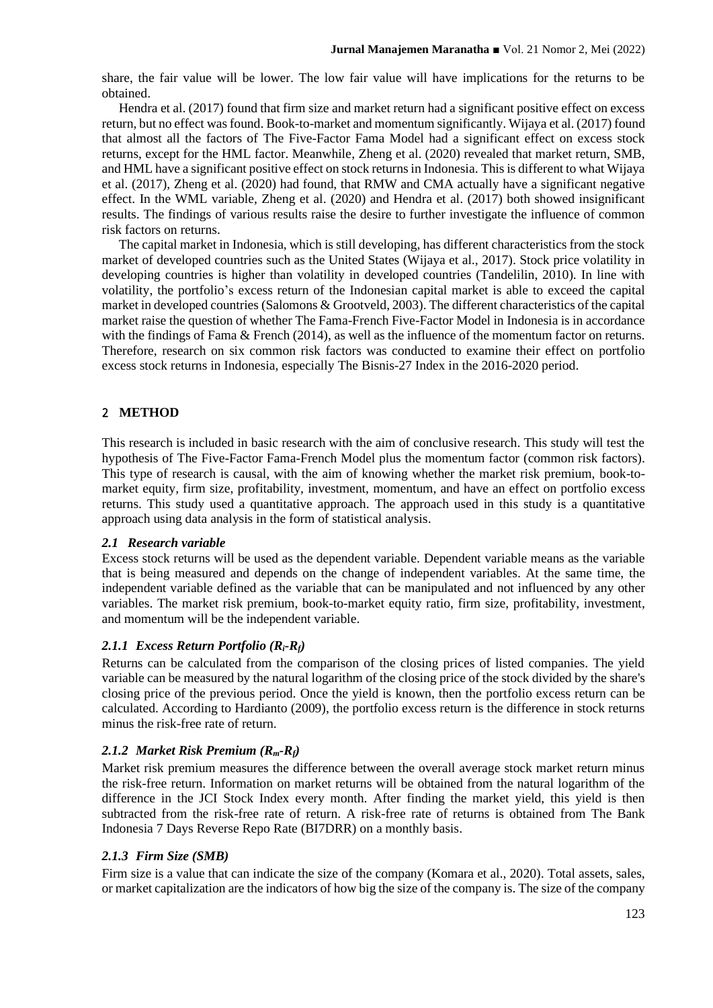share, the fair value will be lower. The low fair value will have implications for the returns to be obtained.

Hendra et al. (2017) found that firm size and market return had a significant positive effect on excess return, but no effect was found. Book-to-market and momentum significantly. Wijaya et al. (2017) found that almost all the factors of The Five-Factor Fama Model had a significant effect on excess stock returns, except for the HML factor. Meanwhile, Zheng et al. (2020) revealed that market return, SMB, and HML have a significant positive effect on stock returns in Indonesia. This is different to what Wijaya et al. (2017), Zheng et al. (2020) had found, that RMW and CMA actually have a significant negative effect. In the WML variable, Zheng et al. (2020) and Hendra et al. (2017) both showed insignificant results. The findings of various results raise the desire to further investigate the influence of common risk factors on returns.

The capital market in Indonesia, which is still developing, has different characteristics from the stock market of developed countries such as the United States (Wijaya et al., 2017). Stock price volatility in developing countries is higher than volatility in developed countries (Tandelilin, 2010). In line with volatility, the portfolio's excess return of the Indonesian capital market is able to exceed the capital market in developed countries (Salomons & Grootveld, 2003). The different characteristics of the capital market raise the question of whether The Fama-French Five-Factor Model in Indonesia is in accordance with the findings of Fama & French (2014), as well as the influence of the momentum factor on returns. Therefore, research on six common risk factors was conducted to examine their effect on portfolio excess stock returns in Indonesia, especially The Bisnis-27 Index in the 2016-2020 period.

# 2 **METHOD**

This research is included in basic research with the aim of conclusive research. This study will test the hypothesis of The Five-Factor Fama-French Model plus the momentum factor (common risk factors). This type of research is causal, with the aim of knowing whether the market risk premium, book-tomarket equity, firm size, profitability, investment, momentum, and have an effect on portfolio excess returns. This study used a quantitative approach. The approach used in this study is a quantitative approach using data analysis in the form of statistical analysis.

## *2.1 Research variable*

Excess stock returns will be used as the dependent variable. Dependent variable means as the variable that is being measured and depends on the change of independent variables. At the same time, the independent variable defined as the variable that can be manipulated and not influenced by any other variables. The market risk premium, book-to-market equity ratio, firm size, profitability, investment, and momentum will be the independent variable.

## *2.1.1 Excess Return Portfolio (Ri-Rf)*

Returns can be calculated from the comparison of the closing prices of listed companies. The yield variable can be measured by the natural logarithm of the closing price of the stock divided by the share's closing price of the previous period. Once the yield is known, then the portfolio excess return can be calculated. According to Hardianto (2009), the portfolio excess return is the difference in stock returns minus the risk-free rate of return.

# *2.1.2 Market Risk Premium (Rm-Rf)*

Market risk premium measures the difference between the overall average stock market return minus the risk-free return. Information on market returns will be obtained from the natural logarithm of the difference in the JCI Stock Index every month. After finding the market yield, this yield is then subtracted from the risk-free rate of return. A risk-free rate of returns is obtained from The Bank Indonesia 7 Days Reverse Repo Rate (BI7DRR) on a monthly basis.

## *2.1.3 Firm Size (SMB)*

Firm size is a value that can indicate the size of the company (Komara et al., 2020). Total assets, sales, or market capitalization are the indicators of how big the size of the company is. The size of the company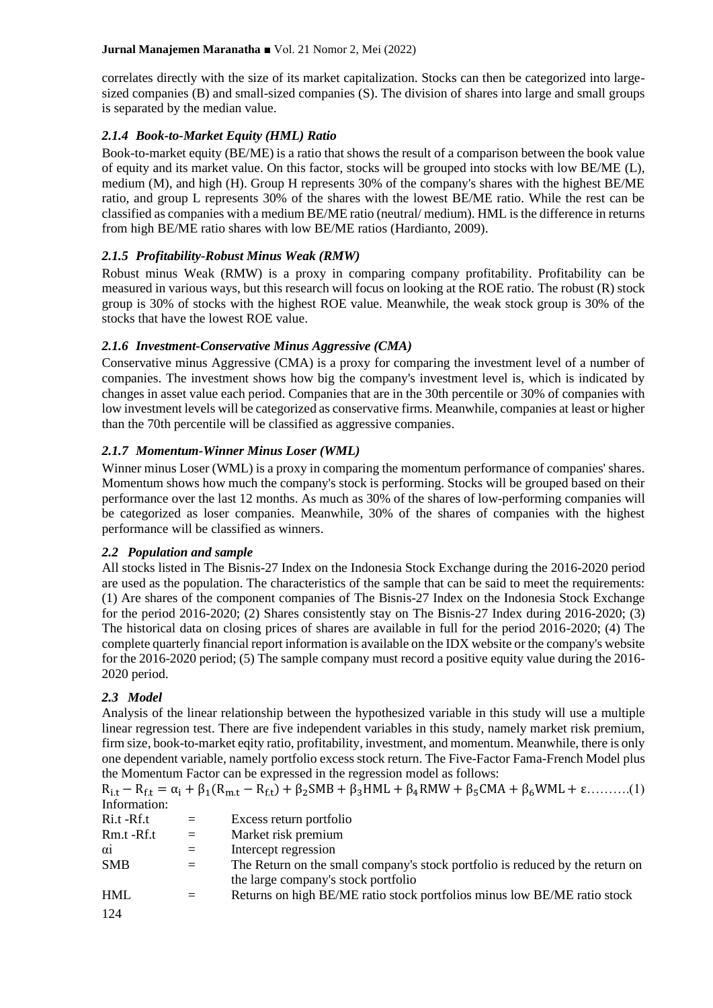correlates directly with the size of its market capitalization. Stocks can then be categorized into largesized companies (B) and small-sized companies (S). The division of shares into large and small groups is separated by the median value.

# *2.1.4 Book-to-Market Equity (HML) Ratio*

Book-to-market equity (BE/ME) is a ratio that shows the result of a comparison between the book value of equity and its market value. On this factor, stocks will be grouped into stocks with low BE/ME (L), medium (M), and high (H). Group H represents 30% of the company's shares with the highest BE/ME ratio, and group L represents 30% of the shares with the lowest BE/ME ratio. While the rest can be classified as companies with a medium BE/ME ratio (neutral/ medium). HML is the difference in returns from high BE/ME ratio shares with low BE/ME ratios (Hardianto, 2009).

# *2.1.5 Profitability-Robust Minus Weak (RMW)*

Robust minus Weak (RMW) is a proxy in comparing company profitability. Profitability can be measured in various ways, but this research will focus on looking at the ROE ratio. The robust (R) stock group is 30% of stocks with the highest ROE value. Meanwhile, the weak stock group is 30% of the stocks that have the lowest ROE value.

# *2.1.6 Investment-Conservative Minus Aggressive (CMA)*

Conservative minus Aggressive (CMA) is a proxy for comparing the investment level of a number of companies. The investment shows how big the company's investment level is, which is indicated by changes in asset value each period. Companies that are in the 30th percentile or 30% of companies with low investment levels will be categorized as conservative firms. Meanwhile, companies at least or higher than the 70th percentile will be classified as aggressive companies.

# *2.1.7 Momentum-Winner Minus Loser (WML)*

Winner minus Loser (WML) is a proxy in comparing the momentum performance of companies' shares. Momentum shows how much the company's stock is performing. Stocks will be grouped based on their performance over the last 12 months. As much as 30% of the shares of low-performing companies will be categorized as loser companies. Meanwhile, 30% of the shares of companies with the highest performance will be classified as winners.

## *2.2 Population and sample*

All stocks listed in The Bisnis-27 Index on the Indonesia Stock Exchange during the 2016-2020 period are used as the population. The characteristics of the sample that can be said to meet the requirements: (1) Are shares of the component companies of The Bisnis-27 Index on the Indonesia Stock Exchange for the period 2016-2020; (2) Shares consistently stay on The Bisnis-27 Index during 2016-2020; (3) The historical data on closing prices of shares are available in full for the period 2016-2020; (4) The complete quarterly financial report information is available on the IDX website or the company's website for the 2016-2020 period; (5) The sample company must record a positive equity value during the 2016- 2020 period.

# *2.3 Model*

Analysis of the linear relationship between the hypothesized variable in this study will use a multiple linear regression test. There are five independent variables in this study, namely market risk premium, firm size, book-to-market eqity ratio, profitability, investment, and momentum. Meanwhile, there is only one dependent variable, namely portfolio excess stock return. The Five-Factor Fama-French Model plus the Momentum Factor can be expressed in the regression model as follows:

 $R_{i,t} - R_{f,t} = \alpha_i + \beta_1(R_{m,t} - R_{f,t}) + \beta_2SMB + \beta_3HML + \beta_4RMW + \beta_5CMA + \beta_6WML + \epsilon$ .........(1) Information:

| Ri.t -Rf.t | $=$ | Excess return portfolio                                                       |
|------------|-----|-------------------------------------------------------------------------------|
| Rm.t -Rf.t | $=$ | Market risk premium                                                           |
| $\alpha$ i | $=$ | Intercept regression                                                          |
| <b>SMB</b> | $=$ | The Return on the small company's stock portfolio is reduced by the return on |
|            |     | the large company's stock portfolio                                           |
| <b>HML</b> | $=$ | Returns on high BE/ME ratio stock portfolios minus low BE/ME ratio stock      |
| 124        |     |                                                                               |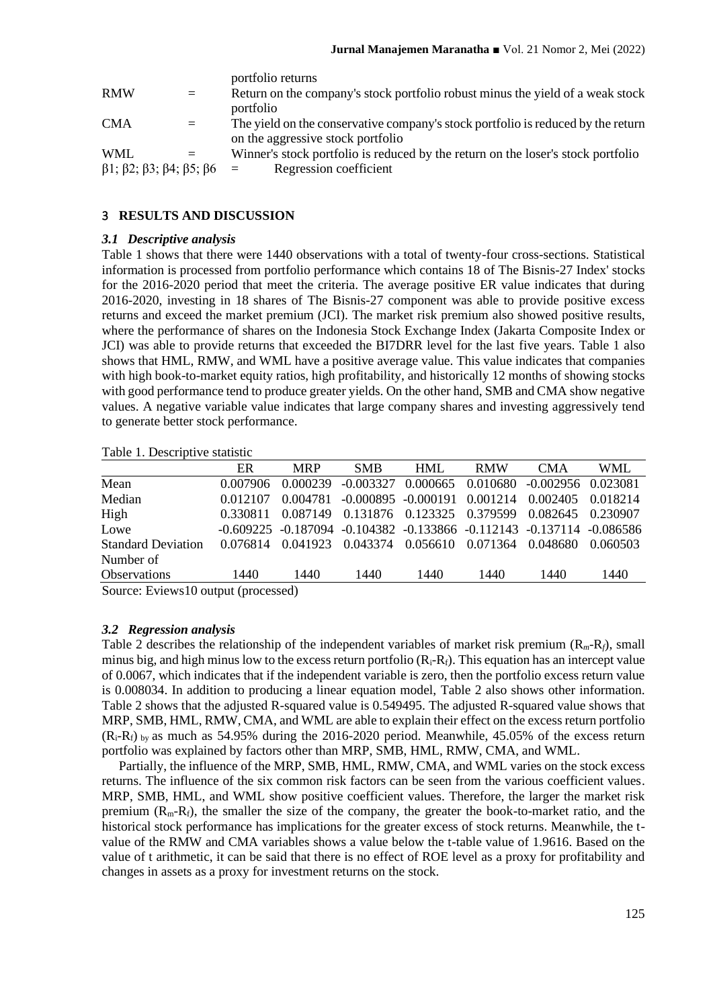|     | portfolio returns                                                                |
|-----|----------------------------------------------------------------------------------|
| $=$ | Return on the company's stock portfolio robust minus the yield of a weak stock   |
|     | portfolio                                                                        |
| $=$ | The yield on the conservative company's stock portfolio is reduced by the return |
|     | on the aggressive stock portfolio                                                |
| $=$ | Winner's stock portfolio is reduced by the return on the loser's stock portfolio |
|     | Regression coefficient<br>$=$                                                    |
|     | $\beta$ 1; $\beta$ 2; $\beta$ 3; $\beta$ 4; $\beta$ 5; $\beta$ 6                 |

## 3 **RESULTS AND DISCUSSION**

#### *3.1 Descriptive analysis*

Table 1 shows that there were 1440 observations with a total of twenty-four cross-sections. Statistical information is processed from portfolio performance which contains 18 of The Bisnis-27 Index' stocks for the 2016-2020 period that meet the criteria. The average positive ER value indicates that during 2016-2020, investing in 18 shares of The Bisnis-27 component was able to provide positive excess returns and exceed the market premium (JCI). The market risk premium also showed positive results, where the performance of shares on the Indonesia Stock Exchange Index (Jakarta Composite Index or JCI) was able to provide returns that exceeded the BI7DRR level for the last five years. Table 1 also shows that HML, RMW, and WML have a positive average value. This value indicates that companies with high book-to-market equity ratios, high profitability, and historically 12 months of showing stocks with good performance tend to produce greater yields. On the other hand, SMB and CMA show negative values. A negative variable value indicates that large company shares and investing aggressively tend to generate better stock performance.

Table 1. Descriptive statistic

|                                    | ER       | <b>MRP</b> | <b>SMB</b>  | <b>HML</b>             | <b>RMW</b> | <b>CMA</b>                                                                          | <b>WML</b> |
|------------------------------------|----------|------------|-------------|------------------------|------------|-------------------------------------------------------------------------------------|------------|
| Mean                               | 0.007906 | 0.000239   | $-0.003327$ | 0.000665               | 0.010680   | $-0.002956$ 0.023081                                                                |            |
| Median                             | 0.012107 | 0.004781   |             | $-0.000895 - 0.000191$ | 0.001214   | 0.002405                                                                            | 0.018214   |
| High                               | 0.330811 | 0.087149   |             | 0.131876 0.123325      | 0.379599   | 0.082645                                                                            | 0.230907   |
| Lowe                               |          |            |             |                        |            | $-0.609225$ $-0.187094$ $-0.104382$ $-0.133866$ $-0.112143$ $-0.137114$ $-0.086586$ |            |
| <b>Standard Deviation</b>          | 0.076814 | 0.041923   | 0.043374    | 0.056610               | 0.071364   | 0.048680                                                                            | 0.060503   |
| Number of                          |          |            |             |                        |            |                                                                                     |            |
| <b>Observations</b>                | 1440     | 1440       | 1440        | 1440                   | 1440       | 1440                                                                                | 1440       |
| Course Eviewell output (processed) |          |            |             |                        |            |                                                                                     |            |

Source: Eviews10 output (processed)

### *3.2 Regression analysis*

Table 2 describes the relationship of the independent variables of market risk premium (R*m*-R*f*), small minus big, and high minus low to the excess return portfolio  $(R_i-R_f)$ . This equation has an intercept value of 0.0067, which indicates that if the independent variable is zero, then the portfolio excess return value is 0.008034. In addition to producing a linear equation model, Table 2 also shows other information. Table 2 shows that the adjusted R-squared value is 0.549495. The adjusted R-squared value shows that MRP, SMB, HML, RMW, CMA, and WML are able to explain their effect on the excess return portfolio  $(R_i-R_f)$  by as much as 54.95% during the 2016-2020 period. Meanwhile, 45.05% of the excess return portfolio was explained by factors other than MRP, SMB, HML, RMW, CMA, and WML.

Partially, the influence of the MRP, SMB, HML, RMW, CMA, and WML varies on the stock excess returns. The influence of the six common risk factors can be seen from the various coefficient values. MRP, SMB, HML, and WML show positive coefficient values. Therefore, the larger the market risk premium  $(R_m-R_f)$ , the smaller the size of the company, the greater the book-to-market ratio, and the historical stock performance has implications for the greater excess of stock returns. Meanwhile, the tvalue of the RMW and CMA variables shows a value below the t-table value of 1.9616. Based on the value of t arithmetic, it can be said that there is no effect of ROE level as a proxy for profitability and changes in assets as a proxy for investment returns on the stock.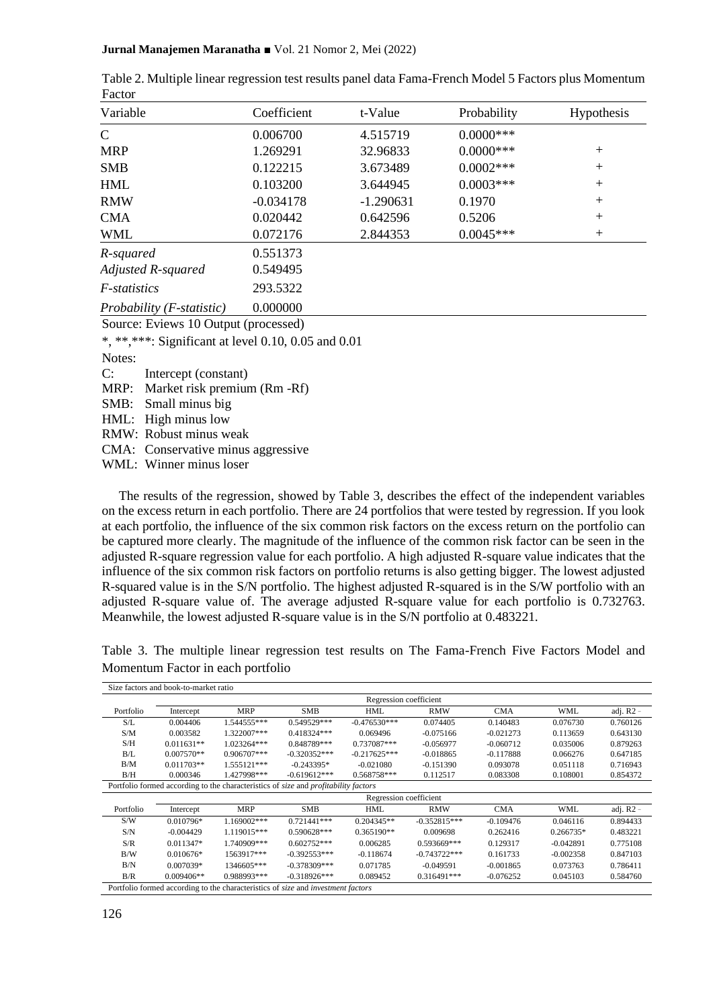| * *****                   |             |             |              |                   |
|---------------------------|-------------|-------------|--------------|-------------------|
| Variable                  | Coefficient | t-Value     | Probability  | <b>Hypothesis</b> |
| $\mathsf{C}$              | 0.006700    | 4.515719    | $0.0000$ *** |                   |
| <b>MRP</b>                | 1.269291    | 32.96833    | $0.0000$ *** | $+$               |
| <b>SMB</b>                | 0.122215    | 3.673489    | $0.0002***$  | $+$               |
| <b>HML</b>                | 0.103200    | 3.644945    | $0.0003***$  | $+$               |
| <b>RMW</b>                | $-0.034178$ | $-1.290631$ | 0.1970       | $+$               |
| <b>CMA</b>                | 0.020442    | 0.642596    | 0.5206       | $+$               |
| <b>WML</b>                | 0.072176    | 2.844353    | $0.0045***$  | $+$               |
| R-squared                 | 0.551373    |             |              |                   |
| Adjusted R-squared        | 0.549495    |             |              |                   |
| <i>F-statistics</i>       | 293.5322    |             |              |                   |
| Probability (F-statistic) | 0.000000    |             |              |                   |

Table 2. Multiple linear regression test results panel data Fama-French Model 5 Factors plus Momentum Factor

Source: Eviews 10 Output (processed)

\*, \*\*,\*\*\*: Significant at level 0.10, 0.05 and 0.01

Notes:

C: Intercept (constant)

MRP: Market risk premium (Rm -Rf)

SMB: Small minus big

HML: High minus low

RMW: Robust minus weak

CMA: Conservative minus aggressive

WML: Winner minus loser

The results of the regression, showed by Table 3, describes the effect of the independent variables on the excess return in each portfolio. There are 24 portfolios that were tested by regression. If you look at each portfolio, the influence of the six common risk factors on the excess return on the portfolio can be captured more clearly. The magnitude of the influence of the common risk factor can be seen in the adjusted R-square regression value for each portfolio. A high adjusted R-square value indicates that the influence of the six common risk factors on portfolio returns is also getting bigger. The lowest adjusted R-squared value is in the S/N portfolio. The highest adjusted R-squared is in the S/W portfolio with an adjusted R-square value of. The average adjusted R-square value for each portfolio is 0.732763. Meanwhile, the lowest adjusted R-square value is in the S/N portfolio at 0.483221.

Table 3. The multiple linear regression test results on The Fama-French Five Factors Model and Momentum Factor in each portfolio

| Size factors and book-to-market ratio                                                          |                        |               |                                                                                     |                |                |             |             |             |  |
|------------------------------------------------------------------------------------------------|------------------------|---------------|-------------------------------------------------------------------------------------|----------------|----------------|-------------|-------------|-------------|--|
|                                                                                                | Regression coefficient |               |                                                                                     |                |                |             |             |             |  |
| Portfolio                                                                                      | Intercept              | <b>MRP</b>    | <b>SMB</b>                                                                          | HML            | <b>RMW</b>     | CMA         | WML         | adj. $R2 -$ |  |
| S/L                                                                                            | 0.004406               | 1.544555***   | 0.549529***                                                                         | $-0.476530***$ | 0.074405       | 0.140483    | 0.076730    | 0.760126    |  |
| S/M                                                                                            | 0.003582               | 1.322007***   | 0.418324***                                                                         | 0.069496       | $-0.075166$    | $-0.021273$ | 0.113659    | 0.643130    |  |
| S/H                                                                                            | $0.011631**$           | 1.023264***   | 0.848789***                                                                         | 0.737087***    | $-0.056977$    | $-0.060712$ | 0.035006    | 0.879263    |  |
| B/L                                                                                            | $0.007570**$           | $0.906707***$ | $-0.320352***$                                                                      | $-0.217625***$ | $-0.018865$    | $-0.117888$ | 0.066276    | 0.647185    |  |
| B/M                                                                                            | $0.011703**$           | 1.555121***   | $-0.243395*$                                                                        | $-0.021080$    | $-0.151390$    | 0.093078    | 0.051118    | 0.716943    |  |
| B/H                                                                                            | 0.000346               | 1.427998***   | $-0.619612***$                                                                      | $0.568758***$  | 0.112517       | 0.083308    | 0.108001    | 0.854372    |  |
|                                                                                                |                        |               | Portfolio formed according to the characteristics of size and profitability factors |                |                |             |             |             |  |
|                                                                                                | Regression coefficient |               |                                                                                     |                |                |             |             |             |  |
| Portfolio                                                                                      | Intercept              | <b>MRP</b>    | <b>SMB</b>                                                                          | <b>HML</b>     | <b>RMW</b>     | <b>CMA</b>  | <b>WML</b>  | adj. $R2 -$ |  |
| S/W                                                                                            | $0.010796*$            | 1.169002***   | $0.721441***$                                                                       | $0.204345**$   | $-0.352815***$ | $-0.109476$ | 0.046116    | 0.894433    |  |
| S/N                                                                                            | $-0.004429$            | 1.119015***   | 0.590628***                                                                         | $0.365190**$   | 0.009698       | 0.262416    | $0.266735*$ | 0.483221    |  |
| S/R                                                                                            | $0.011347*$            | 1.740909***   | $0.602752***$                                                                       | 0.006285       | 0.593669***    | 0.129317    | $-0.042891$ | 0.775108    |  |
| B/W                                                                                            | $0.010676*$            | 1563917***    | $-0.392553***$                                                                      | $-0.118674$    | $-0.743722***$ | 0.161733    | $-0.002358$ | 0.847103    |  |
| B/N                                                                                            | $0.007039*$            | 1346605***    | $-0.378309***$                                                                      | 0.071785       | $-0.049591$    | $-0.001865$ | 0.073763    | 0.786411    |  |
| B/R                                                                                            | $0.009406**$           | 0.988993***   | $-0.318926***$                                                                      | 0.089452       | $0.316491***$  | $-0.076252$ | 0.045103    | 0.584760    |  |
| Portfolio formed according to the characteristics of <i>size</i> and <i>investment factors</i> |                        |               |                                                                                     |                |                |             |             |             |  |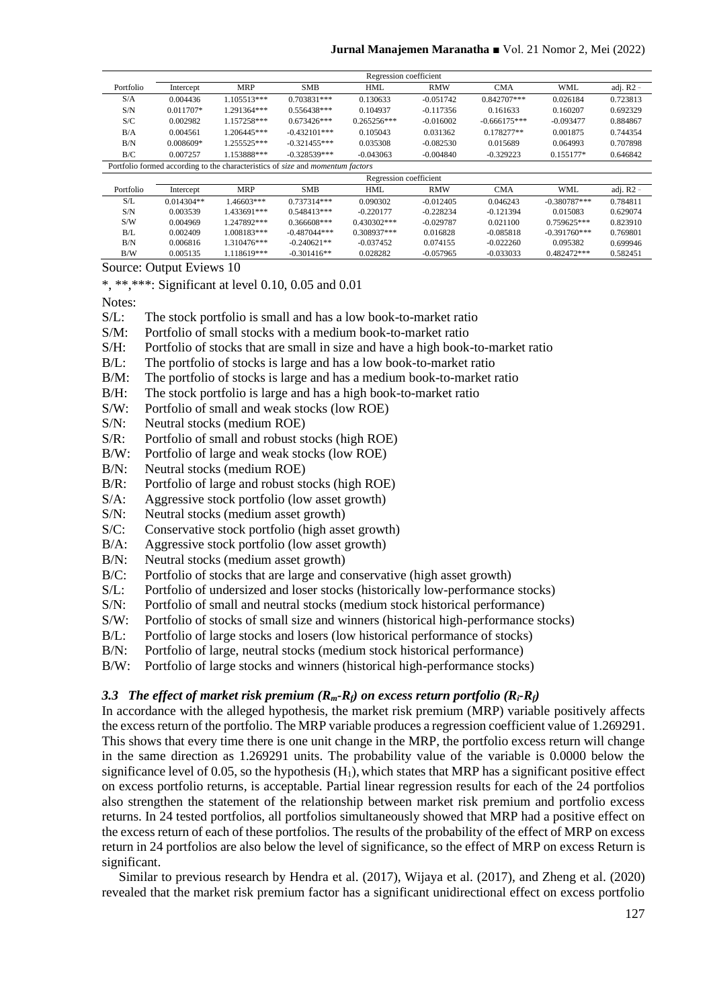|           | Regression coefficient                                                                       |             |                 |               |             |                |                 |             |  |
|-----------|----------------------------------------------------------------------------------------------|-------------|-----------------|---------------|-------------|----------------|-----------------|-------------|--|
| Portfolio | Intercept                                                                                    | <b>MRP</b>  | <b>SMB</b>      | <b>HML</b>    | <b>RMW</b>  | <b>CMA</b>     | <b>WML</b>      | adj. $R2 -$ |  |
| S/A       | 0.004436                                                                                     | 1.105513*** | 0.703831***     | 0.130633      | $-0.051742$ | 0.842707***    | 0.026184        | 0.723813    |  |
| S/N       | $0.011707*$                                                                                  | 1.291364*** | $0.556438***$   | 0.104937      | $-0.117356$ | 0.161633       | 0.160207        | 0.692329    |  |
| S/C       | 0.002982                                                                                     | 1.157258*** | $0.673426***$   | $0.265256***$ | $-0.016002$ | $-0.666175***$ | $-0.093477$     | 0.884867    |  |
| B/A       | 0.004561                                                                                     | 1.206445*** | $-0.432101***$  | 0.105043      | 0.031362    | $0.178277**$   | 0.001875        | 0.744354    |  |
| B/N       | $0.008609*$                                                                                  | 1.255525*** | $-0.321455***$  | 0.035308      | $-0.082530$ | 0.015689       | 0.064993        | 0.707898    |  |
| B/C       | 0.007257                                                                                     | 1.153888*** | $-0.328539***$  | $-0.043063$   | $-0.004840$ | $-0.329223$    | $0.155177*$     | 0.646842    |  |
|           | Portfolio formed according to the characteristics of <i>size</i> and <i>momentum factors</i> |             |                 |               |             |                |                 |             |  |
|           | Regression coefficient                                                                       |             |                 |               |             |                |                 |             |  |
| Portfolio | Intercept                                                                                    | <b>MRP</b>  | <b>SMB</b>      | <b>HML</b>    | <b>RMW</b>  | <b>CMA</b>     | WML             | adj. $R2 -$ |  |
| S/L       | $0.014304**$                                                                                 | 1.46603***  | $0.737314***$   | 0.090302      | $-0.012405$ | 0.046243       | $-0.380787***$  | 0.784811    |  |
| S/N       | 0.003539                                                                                     | 1.433691*** | $0.548413***$   | $-0.220177$   | $-0.228234$ | $-0.121394$    | 0.015083        | 0.629074    |  |
| S/W       | 0.004969                                                                                     | 1.247892*** | 0.366608***     | $0.430302***$ | $-0.029787$ | 0.021100       | $0.759625***$   | 0.823910    |  |
| B/L       | 0.002409                                                                                     | 1.008183*** | $-0.487044$ *** | $0.308937***$ | 0.016828    | $-0.085818$    | $-0.391760$ *** | 0.769801    |  |
| B/N       | 0.006816                                                                                     | 1.310476*** | $-0.240621**$   | $-0.037452$   | 0.074155    | $-0.022260$    | 0.095382        | 0.699946    |  |
| B/W       | 0.005135                                                                                     | 1.118619*** | $-0.301416**$   | 0.028282      | $-0.057965$ | $-0.033033$    | 0.482472***     | 0.582451    |  |

Source: Output Eviews 10

\*, \*\*,\*\*\*: Significant at level 0.10, 0.05 and 0.01

Notes:

- S/L: The stock portfolio is small and has a low book-to-market ratio
- S/M: Portfolio of small stocks with a medium book-to-market ratio<br>S/H: Portfolio of stocks that are small in size and have a high book
- Portfolio of stocks that are small in size and have a high book-to-market ratio
- B/L: The portfolio of stocks is large and has a low book-to-market ratio
- B/M: The portfolio of stocks is large and has a medium book-to-market ratio
- B/H: The stock portfolio is large and has a high book-to-market ratio
- S/W: Portfolio of small and weak stocks (low ROE)
- S/N: Neutral stocks (medium ROE)
- S/R: Portfolio of small and robust stocks (high ROE)
- B/W: Portfolio of large and weak stocks (low ROE)
- B/N: Neutral stocks (medium ROE)
- B/R: Portfolio of large and robust stocks (high ROE)
- S/A: Aggressive stock portfolio (low asset growth)
- S/N: Neutral stocks (medium asset growth)
- S/C: Conservative stock portfolio (high asset growth)
- B/A: Aggressive stock portfolio (low asset growth)
- B/N: Neutral stocks (medium asset growth)
- B/C: Portfolio of stocks that are large and conservative (high asset growth)
- S/L: Portfolio of undersized and loser stocks (historically low-performance stocks)
- S/N: Portfolio of small and neutral stocks (medium stock historical performance)
- S/W: Portfolio of stocks of small size and winners (historical high-performance stocks)
- B/L: Portfolio of large stocks and losers (low historical performance of stocks)
- B/N: Portfolio of large, neutral stocks (medium stock historical performance)
- B/W: Portfolio of large stocks and winners (historical high-performance stocks)

### *3.3 The effect of market risk premium (Rm-Rf) on excess return portfolio (Ri-Rf)*

In accordance with the alleged hypothesis, the market risk premium (MRP) variable positively affects the excess return of the portfolio. The MRP variable produces a regression coefficient value of 1.269291. This shows that every time there is one unit change in the MRP, the portfolio excess return will change in the same direction as 1.269291 units. The probability value of the variable is 0.0000 below the significance level of 0.05, so the hypothesis  $(H_1)$ , which states that MRP has a significant positive effect on excess portfolio returns, is acceptable. Partial linear regression results for each of the 24 portfolios also strengthen the statement of the relationship between market risk premium and portfolio excess returns. In 24 tested portfolios, all portfolios simultaneously showed that MRP had a positive effect on the excess return of each of these portfolios. The results of the probability of the effect of MRP on excess return in 24 portfolios are also below the level of significance, so the effect of MRP on excess Return is significant.

Similar to previous research by Hendra et al. (2017), Wijaya et al. (2017), and Zheng et al. (2020) revealed that the market risk premium factor has a significant unidirectional effect on excess portfolio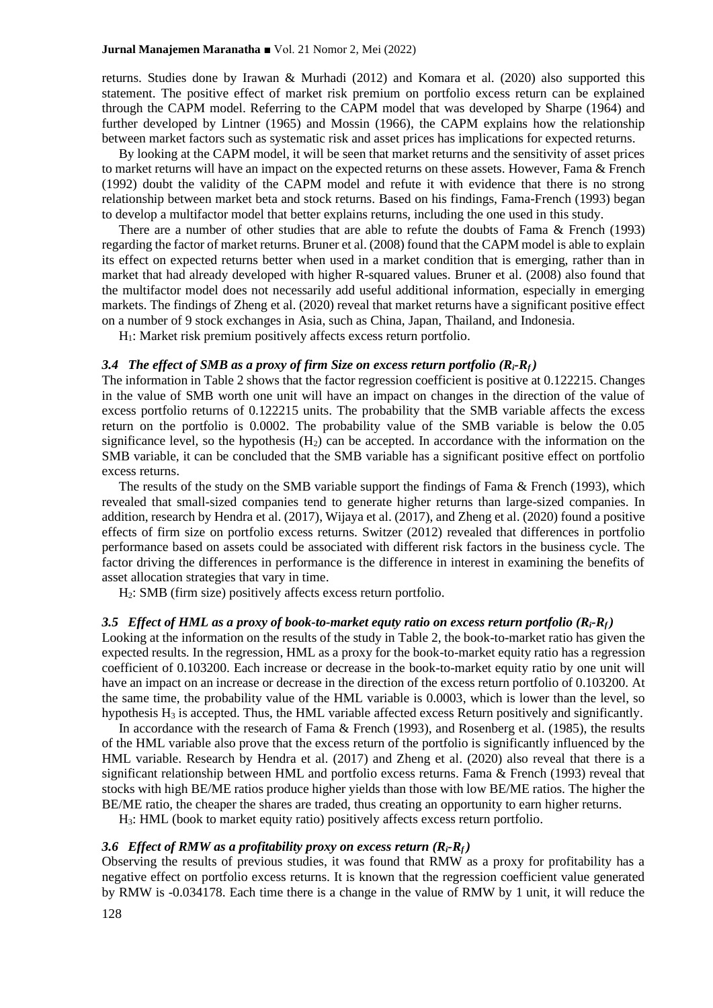returns. Studies done by Irawan & Murhadi (2012) and Komara et al. (2020) also supported this statement. The positive effect of market risk premium on portfolio excess return can be explained through the CAPM model. Referring to the CAPM model that was developed by Sharpe (1964) and further developed by Lintner (1965) and Mossin (1966), the CAPM explains how the relationship between market factors such as systematic risk and asset prices has implications for expected returns.

By looking at the CAPM model, it will be seen that market returns and the sensitivity of asset prices to market returns will have an impact on the expected returns on these assets. However, Fama & French (1992) doubt the validity of the CAPM model and refute it with evidence that there is no strong relationship between market beta and stock returns. Based on his findings, Fama-French (1993) began to develop a multifactor model that better explains returns, including the one used in this study.

There are a number of other studies that are able to refute the doubts of Fama & French (1993) regarding the factor of market returns. Bruner et al. (2008) found that the CAPM model is able to explain its effect on expected returns better when used in a market condition that is emerging, rather than in market that had already developed with higher R-squared values. Bruner et al. (2008) also found that the multifactor model does not necessarily add useful additional information, especially in emerging markets. The findings of Zheng et al. (2020) reveal that market returns have a significant positive effect on a number of 9 stock exchanges in Asia, such as China, Japan, Thailand, and Indonesia.

H1: Market risk premium positively affects excess return portfolio.

#### *3.4 The effect of SMB as a proxy of firm Size on excess return portfolio (Ri-Rf )*

The information in Table 2 shows that the factor regression coefficient is positive at 0.122215. Changes in the value of SMB worth one unit will have an impact on changes in the direction of the value of excess portfolio returns of 0.122215 units. The probability that the SMB variable affects the excess return on the portfolio is 0.0002. The probability value of the SMB variable is below the 0.05 significance level, so the hypothesis  $(H<sub>2</sub>)$  can be accepted. In accordance with the information on the SMB variable, it can be concluded that the SMB variable has a significant positive effect on portfolio excess returns.

The results of the study on the SMB variable support the findings of Fama  $\&$  French (1993), which revealed that small-sized companies tend to generate higher returns than large-sized companies. In addition, research by Hendra et al. (2017), Wijaya et al. (2017), and Zheng et al. (2020) found a positive effects of firm size on portfolio excess returns. Switzer (2012) revealed that differences in portfolio performance based on assets could be associated with different risk factors in the business cycle. The factor driving the differences in performance is the difference in interest in examining the benefits of asset allocation strategies that vary in time.

H2: SMB (firm size) positively affects excess return portfolio.

# *3.5 Effect of HML as a proxy of book-to-market equty ratio on excess return portfolio (Ri-Rf )*

Looking at the information on the results of the study in Table 2, the book-to-market ratio has given the expected results. In the regression, HML as a proxy for the book-to-market equity ratio has a regression coefficient of 0.103200. Each increase or decrease in the book-to-market equity ratio by one unit will have an impact on an increase or decrease in the direction of the excess return portfolio of 0.103200. At the same time, the probability value of the HML variable is 0.0003, which is lower than the level, so hypothesis H<sub>3</sub> is accepted. Thus, the HML variable affected excess Return positively and significantly.

In accordance with the research of Fama & French (1993), and Rosenberg et al. (1985), the results of the HML variable also prove that the excess return of the portfolio is significantly influenced by the HML variable. Research by Hendra et al. (2017) and Zheng et al. (2020) also reveal that there is a significant relationship between HML and portfolio excess returns. Fama & French (1993) reveal that stocks with high BE/ME ratios produce higher yields than those with low BE/ME ratios. The higher the BE/ME ratio, the cheaper the shares are traded, thus creating an opportunity to earn higher returns.

H3: HML (book to market equity ratio) positively affects excess return portfolio.

#### *3.6 Effect of RMW as a profitability proxy on excess return (Ri-Rf )*

Observing the results of previous studies, it was found that RMW as a proxy for profitability has a negative effect on portfolio excess returns. It is known that the regression coefficient value generated by RMW is -0.034178. Each time there is a change in the value of RMW by 1 unit, it will reduce the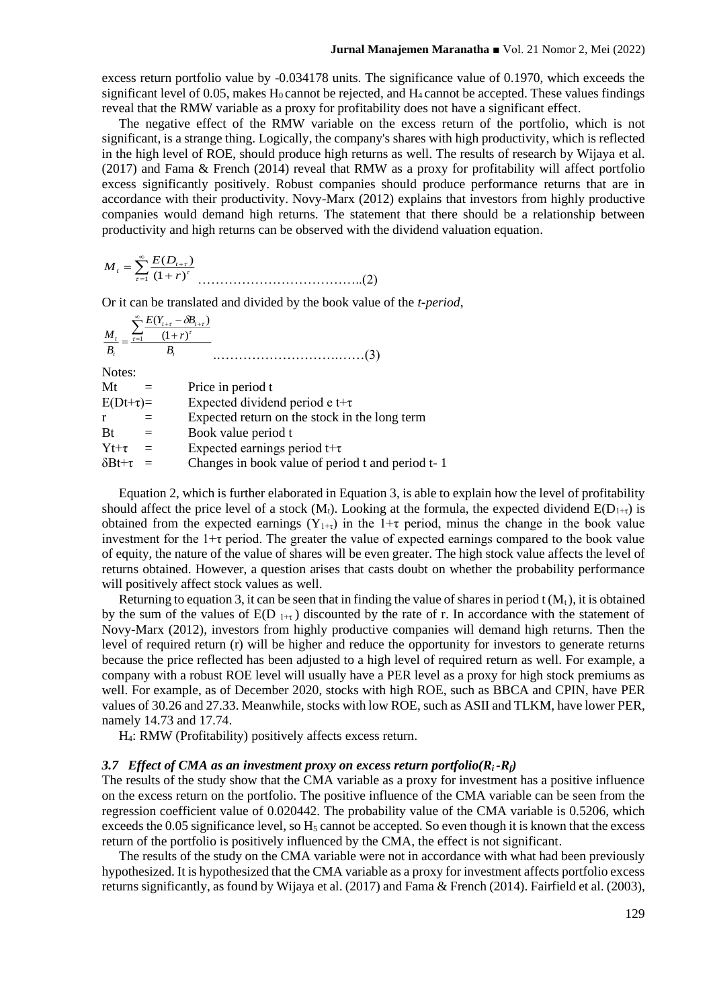excess return portfolio value by -0.034178 units. The significance value of 0.1970, which exceeds the significant level of 0.05, makes  $H_0$  cannot be rejected, and  $H_4$  cannot be accepted. These values findings reveal that the RMW variable as a proxy for profitability does not have a significant effect.

The negative effect of the RMW variable on the excess return of the portfolio, which is not significant, is a strange thing. Logically, the company's shares with high productivity, which is reflected in the high level of ROE, should produce high returns as well. The results of research by Wijaya et al. (2017) and Fama & French (2014) reveal that RMW as a proxy for profitability will affect portfolio excess significantly positively. Robust companies should produce performance returns that are in accordance with their productivity. Novy-Marx (2012) explains that investors from highly productive companies would demand high returns. The statement that there should be a relationship between productivity and high returns can be observed with the dividend valuation equation.

$$
M_{t} = \sum_{\tau=1}^{\infty} \frac{E(D_{t+\tau})}{(1+r)^{\tau}}
$$
.................(2)

Or it can be translated and divided by the book value of the *t-period*,

$$
\frac{M_{t}}{B_{t}} = \frac{\sum_{r=1}^{\infty} \frac{E(Y_{t+r} - \delta B_{t+r})}{(1+r)^{t}}}{B_{t}}
$$
 (3)

Notes:

| Mt | Price in period t |
|----|-------------------|
|----|-------------------|

| $E(Dt+\tau)=$ |  |  | Expected dividend period e t+ $\tau$ |
|---------------|--|--|--------------------------------------|
|---------------|--|--|--------------------------------------|

 $r =$  Expected return on the stock in the long term

 $Bt =$  Book value period t

 $Yt+\tau$  = Expected earnings period  $t+\tau$ 

 $\delta B t + \tau$  = Changes in book value of period t and period t- 1

Equation 2, which is further elaborated in Equation 3, is able to explain how the level of profitability should affect the price level of a stock ( $M_t$ ). Looking at the formula, the expected dividend  $E(D_{1+\tau})$  is obtained from the expected earnings  $(Y_{1+t})$  in the 1+τ period, minus the change in the book value investment for the  $1+\tau$  period. The greater the value of expected earnings compared to the book value of equity, the nature of the value of shares will be even greater. The high stock value affects the level of returns obtained. However, a question arises that casts doubt on whether the probability performance will positively affect stock values as well.

Returning to equation 3, it can be seen that in finding the value of shares in period  $t(M_t)$ , it is obtained by the sum of the values of  $E(D_{1+\tau})$  discounted by the rate of r. In accordance with the statement of Novy-Marx (2012), investors from highly productive companies will demand high returns. Then the level of required return (r) will be higher and reduce the opportunity for investors to generate returns because the price reflected has been adjusted to a high level of required return as well. For example, a company with a robust ROE level will usually have a PER level as a proxy for high stock premiums as well. For example, as of December 2020, stocks with high ROE, such as BBCA and CPIN, have PER values of 30.26 and 27.33. Meanwhile, stocks with low ROE, such as ASII and TLKM, have lower PER, namely 14.73 and 17.74.

H4: RMW (Profitability) positively affects excess return.

#### 3.7 *Effect of CMA as an investment proxy on excess return portfolio(* $R_i$ *-* $R_f$ *)*

The results of the study show that the CMA variable as a proxy for investment has a positive influence on the excess return on the portfolio. The positive influence of the CMA variable can be seen from the regression coefficient value of 0.020442. The probability value of the CMA variable is 0.5206, which exceeds the 0.05 significance level, so  $H_5$  cannot be accepted. So even though it is known that the excess return of the portfolio is positively influenced by the CMA, the effect is not significant.

The results of the study on the CMA variable were not in accordance with what had been previously hypothesized. It is hypothesized that the CMA variable as a proxy for investment affects portfolio excess returns significantly, as found by Wijaya et al. (2017) and Fama & French (2014). Fairfield et al. (2003),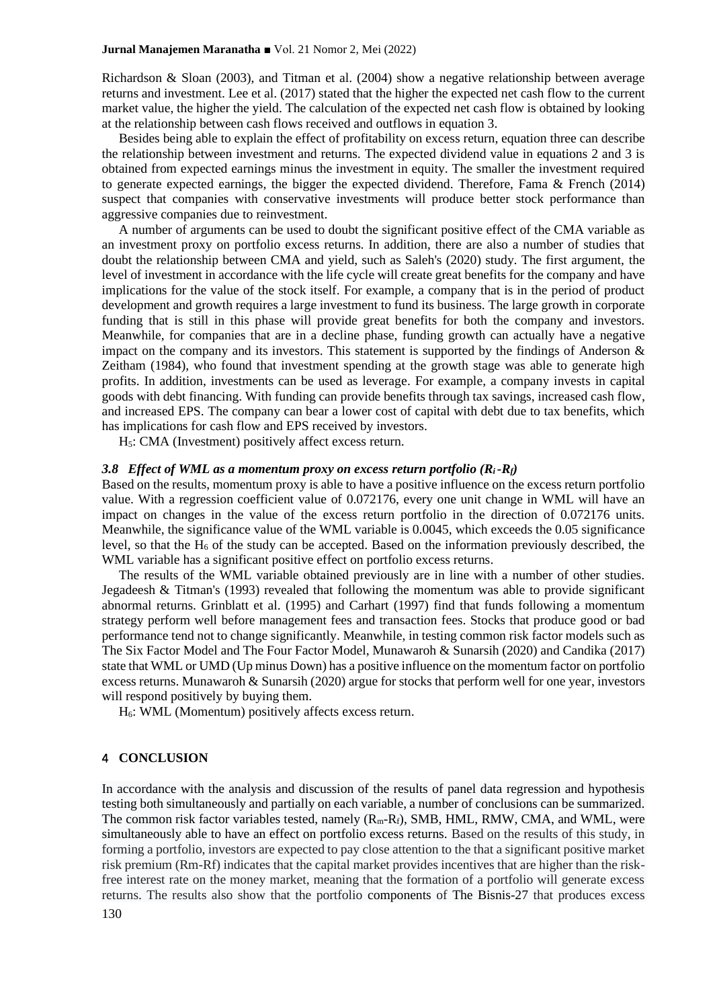Richardson & Sloan (2003), and Titman et al. (2004) show a negative relationship between average returns and investment. Lee et al. (2017) stated that the higher the expected net cash flow to the current market value, the higher the yield. The calculation of the expected net cash flow is obtained by looking at the relationship between cash flows received and outflows in equation 3.

Besides being able to explain the effect of profitability on excess return, equation three can describe the relationship between investment and returns. The expected dividend value in equations 2 and 3 is obtained from expected earnings minus the investment in equity. The smaller the investment required to generate expected earnings, the bigger the expected dividend. Therefore, Fama & French (2014) suspect that companies with conservative investments will produce better stock performance than aggressive companies due to reinvestment.

A number of arguments can be used to doubt the significant positive effect of the CMA variable as an investment proxy on portfolio excess returns. In addition, there are also a number of studies that doubt the relationship between CMA and yield, such as Saleh's (2020) study. The first argument, the level of investment in accordance with the life cycle will create great benefits for the company and have implications for the value of the stock itself. For example, a company that is in the period of product development and growth requires a large investment to fund its business. The large growth in corporate funding that is still in this phase will provide great benefits for both the company and investors. Meanwhile, for companies that are in a decline phase, funding growth can actually have a negative impact on the company and its investors. This statement is supported by the findings of Anderson  $\&$ Zeitham (1984), who found that investment spending at the growth stage was able to generate high profits. In addition, investments can be used as leverage. For example, a company invests in capital goods with debt financing. With funding can provide benefits through tax savings, increased cash flow, and increased EPS. The company can bear a lower cost of capital with debt due to tax benefits, which has implications for cash flow and EPS received by investors.

H5: CMA (Investment) positively affect excess return.

### 3.8 *Effect of WML as a momentum proxy on excess return portfolio*  $(R_i - R_f)$

Based on the results, momentum proxy is able to have a positive influence on the excess return portfolio value. With a regression coefficient value of 0.072176, every one unit change in WML will have an impact on changes in the value of the excess return portfolio in the direction of 0.072176 units. Meanwhile, the significance value of the WML variable is 0.0045, which exceeds the 0.05 significance level, so that the  $H_6$  of the study can be accepted. Based on the information previously described, the WML variable has a significant positive effect on portfolio excess returns.

The results of the WML variable obtained previously are in line with a number of other studies. Jegadeesh & Titman's (1993) revealed that following the momentum was able to provide significant abnormal returns. Grinblatt et al. (1995) and Carhart (1997) find that funds following a momentum strategy perform well before management fees and transaction fees. Stocks that produce good or bad performance tend not to change significantly. Meanwhile, in testing common risk factor models such as The Six Factor Model and The Four Factor Model, Munawaroh & Sunarsih (2020) and Candika (2017) state that WML or UMD (Up minus Down) has a positive influence on the momentum factor on portfolio excess returns. Munawaroh & Sunarsih (2020) argue for stocks that perform well for one year, investors will respond positively by buying them.

 $H<sub>6</sub>$ : WML (Momentum) positively affects excess return.

## 4 **CONCLUSION**

In accordance with the analysis and discussion of the results of panel data regression and hypothesis testing both simultaneously and partially on each variable, a number of conclusions can be summarized. The common risk factor variables tested, namely  $(R_m-R_f)$ , SMB, HML, RMW, CMA, and WML, were simultaneously able to have an effect on portfolio excess returns. Based on the results of this study, in forming a portfolio, investors are expected to pay close attention to the that a significant positive market risk premium (Rm-Rf) indicates that the capital market provides incentives that are higher than the riskfree interest rate on the money market, meaning that the formation of a portfolio will generate excess returns. The results also show that the portfolio components of The Bisnis-27 that produces excess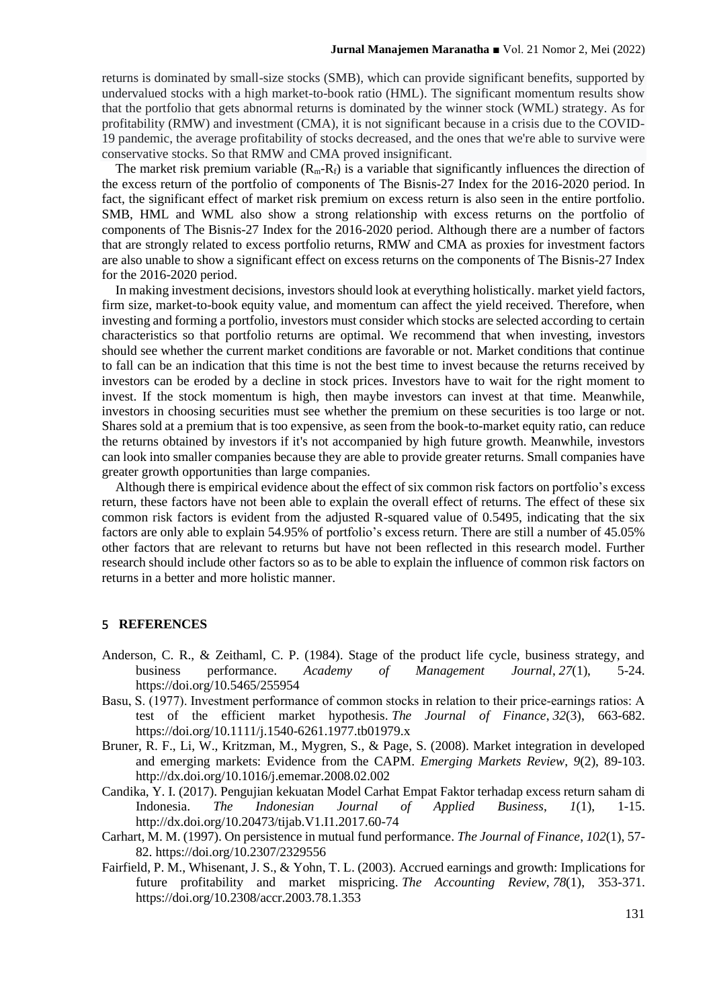returns is dominated by small-size stocks (SMB), which can provide significant benefits, supported by undervalued stocks with a high market-to-book ratio (HML). The significant momentum results show that the portfolio that gets abnormal returns is dominated by the winner stock (WML) strategy. As for profitability (RMW) and investment (CMA), it is not significant because in a crisis due to the COVID-19 pandemic, the average profitability of stocks decreased, and the ones that we're able to survive were conservative stocks. So that RMW and CMA proved insignificant.

The market risk premium variable  $(R_m - R_f)$  is a variable that significantly influences the direction of the excess return of the portfolio of components of The Bisnis-27 Index for the 2016-2020 period. In fact, the significant effect of market risk premium on excess return is also seen in the entire portfolio. SMB, HML and WML also show a strong relationship with excess returns on the portfolio of components of The Bisnis-27 Index for the 2016-2020 period. Although there are a number of factors that are strongly related to excess portfolio returns, RMW and CMA as proxies for investment factors are also unable to show a significant effect on excess returns on the components of The Bisnis-27 Index for the 2016-2020 period.

In making investment decisions, investors should look at everything holistically. market yield factors, firm size, market-to-book equity value, and momentum can affect the yield received. Therefore, when investing and forming a portfolio, investors must consider which stocks are selected according to certain characteristics so that portfolio returns are optimal. We recommend that when investing, investors should see whether the current market conditions are favorable or not. Market conditions that continue to fall can be an indication that this time is not the best time to invest because the returns received by investors can be eroded by a decline in stock prices. Investors have to wait for the right moment to invest. If the stock momentum is high, then maybe investors can invest at that time. Meanwhile, investors in choosing securities must see whether the premium on these securities is too large or not. Shares sold at a premium that is too expensive, as seen from the book-to-market equity ratio, can reduce the returns obtained by investors if it's not accompanied by high future growth. Meanwhile, investors can look into smaller companies because they are able to provide greater returns. Small companies have greater growth opportunities than large companies.

Although there is empirical evidence about the effect of six common risk factors on portfolio's excess return, these factors have not been able to explain the overall effect of returns. The effect of these six common risk factors is evident from the adjusted R-squared value of 0.5495, indicating that the six factors are only able to explain 54.95% of portfolio's excess return. There are still a number of 45.05% other factors that are relevant to returns but have not been reflected in this research model. Further research should include other factors so as to be able to explain the influence of common risk factors on returns in a better and more holistic manner.

#### 5 **REFERENCES**

- Anderson, C. R., & Zeithaml, C. P. (1984). Stage of the product life cycle, business strategy, and business performance. *Academy of Management Journal*, *27*(1), 5-24. <https://doi.org/10.5465/255954>
- Basu, S. (1977). Investment performance of common stocks in relation to their price-earnings ratios: A test of the efficient market hypothesis. *The Journal of Finance*, *32*(3), 663-682. <https://doi.org/10.1111/j.1540-6261.1977.tb01979.x>
- Bruner, R. F., Li, W., Kritzman, M., Mygren, S., & Page, S. (2008). Market integration in developed and emerging markets: Evidence from the CAPM. *Emerging Markets Review*, *9*(2), 89-103. http://dx.doi.org/10.1016/j.ememar.2008.02.002
- Candika, Y. I. (2017). Pengujian kekuatan Model Carhat Empat Faktor terhadap excess return saham di Indonesia. *The Indonesian Journal of Applied Business*, *1*(1), 1-15. http://dx.doi.org/10.20473/tijab.V1.I1.2017.60-74
- Carhart, M. M. (1997). On persistence in mutual fund performance. *The Journal of Finance*, *102*(1), 57- 82. https://doi.org/10.2307/2329556
- Fairfield, P. M., Whisenant, J. S., & Yohn, T. L. (2003). Accrued earnings and growth: Implications for future profitability and market mispricing. *The Accounting Review*, *78*(1), 353-371. <https://doi.org/10.2308/accr.2003.78.1.353>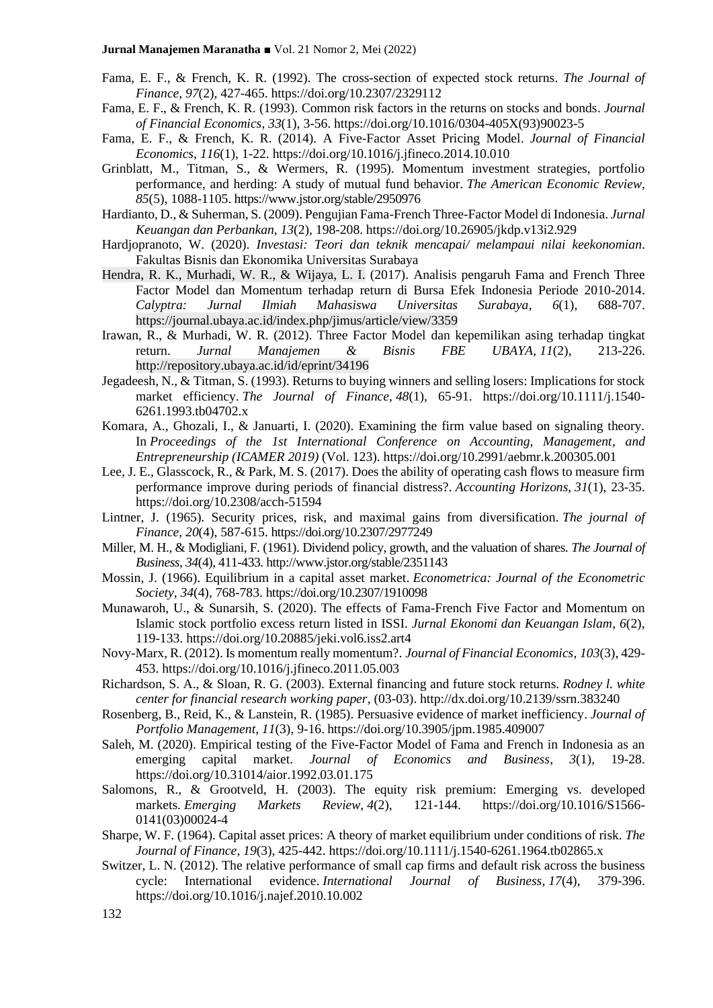- Fama, E. F., & French, K. R. (1992). The cross-section of expected stock returns. *The Journal of Finance, 97*(2), 427-465. https://doi.org/10.2307/2329112
- Fama, E. F., & French, K. R. (1993). Common risk factors in the returns on stocks and bonds. *Journal of Financial Economics*, *33*(1), 3-56. https://doi.org/10.1016/0304-405X(93)90023-5
- Fama, E. F., & French, K. R. (2014). A Five-Factor Asset Pricing Model. *Journal of Financial Economics*, *116*(1), 1-22. https://doi.org/10.1016/j.jfineco.2014.10.010
- Grinblatt, M., Titman, S., & Wermers, R. (1995). Momentum investment strategies, portfolio performance, and herding: A study of mutual fund behavior. *The American Economic Review*, *85*(5), 1088-1105. https://www.jstor.org/stable/2950976
- Hardianto, D., & Suherman, S. (2009). Pengujian Fama-French Three-Factor Model di Indonesia. *Jurnal Keuangan dan Perbankan*, *13*(2), 198-208. <https://doi.org/10.26905/jkdp.v13i2.929>
- Hardjopranoto, W. (2020). *Investasi: Teori dan teknik mencapai/ melampaui nilai keekonomian*. Fakultas Bisnis dan Ekonomika Universitas Surabaya
- Hendra, R. K., Murhadi, W. R., & Wijaya, L. I. (2017). Analisis pengaruh Fama and French Three Factor Model dan Momentum terhadap return di Bursa Efek Indonesia Periode 2010-2014. *Calyptra: Jurnal Ilmiah Mahasiswa Universitas Surabaya*, *6*(1), 688-707. https://journal.ubaya.ac.id/index.php/jimus/article/view/3359
- Irawan, R., & Murhadi, W. R. (2012). Three Factor Model dan kepemilikan asing terhadap tingkat return. *Jurnal Manajemen & Bisnis FBE UBAYA*, *11*(2), 213-226. <http://repository.ubaya.ac.id/id/eprint/34196>
- Jegadeesh, N., & Titman, S. (1993). Returns to buying winners and selling losers: Implications for stock market efficiency. *The Journal of Finance*, *48*(1), 65-91. https://doi.org/10.1111/j.1540- 6261.1993.tb04702.x
- Komara, A., Ghozali, I., & Januarti, I. (2020). Examining the firm value based on signaling theory. In *Proceedings of the 1st International Conference on Accounting, Management, and Entrepreneurship (ICAMER 2019)* (Vol. 123)*.* https://doi.org/10.2991/aebmr.k.200305.001
- Lee, J. E., Glasscock, R., & Park, M. S. (2017). Does the ability of operating cash flows to measure firm performance improve during periods of financial distress?. *Accounting Horizons*, *31*(1), 23-35. <https://doi.org/10.2308/acch-51594>
- Lintner, J. (1965). Security prices, risk, and maximal gains from diversification. *The journal of Finance*, *20*(4), 587-615. <https://doi.org/10.2307/2977249>
- Miller, M. H., & Modigliani, F. (1961). Dividend policy, growth, and the valuation of shares. *The Journal of Business*, *34*(4), 411-433. http://www.jstor.org/stable/2351143
- Mossin, J. (1966). Equilibrium in a capital asset market. *Econometrica: Journal of the Econometric Society*, *34*(4), 768-783. <https://doi.org/10.2307/1910098>
- Munawaroh, U., & Sunarsih, S. (2020). The effects of Fama-French Five Factor and Momentum on Islamic stock portfolio excess return listed in ISSI. *Jurnal Ekonomi dan Keuangan Islam*, *6*(2), 119-133. https://doi.org/10.20885/jeki.vol6.iss2.art4
- Novy-Marx, R. (2012). Is momentum really momentum?. *Journal of Financial Economics*, *103*(3), 429- 453. <https://doi.org/10.1016/j.jfineco.2011.05.003>
- Richardson, S. A., & Sloan, R. G. (2003). External financing and future stock returns. *Rodney l. white center for financial research working paper*, (03-03). <http://dx.doi.org/10.2139/ssrn.383240>
- Rosenberg, B., Reid, K., & Lanstein, R. (1985). Persuasive evidence of market inefficiency. *Journal of Portfolio Management*, *11*(3), 9-16. https://doi.org/10.3905/jpm.1985.409007
- Saleh, M. (2020). Empirical testing of the Five-Factor Model of Fama and French in Indonesia as an emerging capital market. *Journal of Economics and Business*, *3*(1), 19-28. https://doi.org/10.31014/aior.1992.03.01.175
- Salomons, R., & Grootveld, H. (2003). The equity risk premium: Emerging vs. developed markets. *Emerging Markets Review*, *4*(2), 121-144. [https://doi.org/10.1016/S1566-](https://doi.org/10.1016/S1566-0141(03)00024-4) [0141\(03\)00024-4](https://doi.org/10.1016/S1566-0141(03)00024-4)
- Sharpe, W. F. (1964). Capital asset prices: A theory of market equilibrium under conditions of risk. *The Journal of Finance*, *19*(3), 425-442. <https://doi.org/10.1111/j.1540-6261.1964.tb02865.x>
- Switzer, L. N. (2012). The relative performance of small cap firms and default risk across the business cycle: International evidence. *International Journal of Business*, *17*(4), 379-396. https://doi.org/10.1016/j.najef.2010.10.002